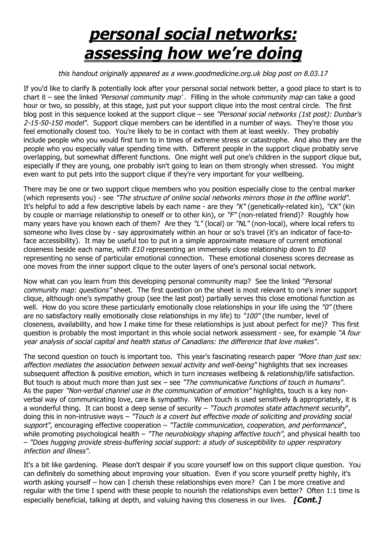## *personal social networks: assessing how we're doing*

## *this handout originally appeared as a www.goodmedicine.org.uk blog post on 8.03.17*

If you'd like to clarify & potentially look after your personal social network better, a good place to start is to chart it – see the linked *'Personal community map'* . Filling in the whole *community map* can take a good hour or two, so possibly, at this stage, just put your support clique into the most central circle. The first blog post in this sequence looked at the support clique – see *"Personal social networks (1st post): Dunbar's 2-15-50-150 model"*. Support clique members can be identified in a number of ways. They're those you feel emotionally closest too. You're likely to be in contact with them at least weekly. They probably include people who you would first turn to in times of extreme stress or catastrophe. And also they are the people who you especially value spending time with. Different people in the support clique probably serve overlapping, but somewhat different functions. One might well put one's children in the support clique but, especially if they are young, one probably isn't going to lean on them strongly when stressed. You might even want to put pets into the support clique if they're very important for your wellbeing.

There may be one or two support clique members who you position especially close to the central marker (which represents you) - see *"The structure of online social networks mirrors those in the offline world".* It's helpful to add a few descriptive labels by each name - are they *"K"* (genetically-related kin), *"CK"* (kin by couple or marriage relationship to oneself or to other kin), or *"F"* (non-related friend)? Roughly how many years have you known each of them? Are they *"L"* (local) or *"NL"* (non-local), where local refers to someone who lives close by - say approximately within an hour or so's travel (it's an indicator of face-toface accessibility). It may be useful too to put in a simple approximate measure of current emotional closeness beside each name, with *E10* representing an immensely close relationship down to *E0* representing no sense of particular emotional connection. These emotional closeness scores decrease as one moves from the inner support clique to the outer layers of one's personal social network.

Now what can you learn from this developing personal community map? See the linked *"Personal community map: questions"* sheet. The first question on the sheet is most relevant to one's inner support clique, although one's sympathy group (see the last post) partially serves this close emotional function as well. How do you score these particularly emotionally close relationships in your life using the *"0"* (there are no satisfactory really emotionally close relationships in my life) to *"100"* (the number, level of closeness, availability, and how I make time for these relationships is just about perfect for me)? This first question is probably the most important in this whole social network assessment - see, for example *"A four year analysis of social capital and health status of Canadians: the difference that love makes".* 

The second question on touch is important too. This year's fascinating research paper *"More than just sex: affection mediates the association between sexual activity and well-being"* highlights that sex increases subsequent affection & positive emotion, which in turn increases wellbeing & relationship/life satisfaction. But touch is about much more than just sex – see *"The communicative functions of touch in humans".* As the paper *"Non-verbal channel use in the communication of emotion"* highlights, touch is a key nonverbal way of communicating love, care & sympathy. When touch is used sensitively & appropriately, it is a wonderful thing. It can boost a deep sense of security – *"Touch promotes state attachment security*", doing this in non-intrusive ways – *"Touch is a covert but effective mode of soliciting and providing social support"*, encouraging effective cooperation – *"Tactile communication, cooperation, and performance*", while promoting psychological health – *"The neurobiology shaping affective touch"*, and physical health too – *"Does hugging provide stress-buffering social support: a study of susceptibility to upper respiratory infection and illness".*

It's a bit like gardening. Please don't despair if you score yourself low on this support clique question. You can definitely do something about improving your situation. Even if you score yourself pretty highly, it's worth asking yourself – how can I cherish these relationships even more? Can I be more creative and regular with the time I spend with these people to nourish the relationships even better? Often 1:1 time is especially beneficial, talking at depth, and valuing having this closeness in our lives. *[Cont.]*